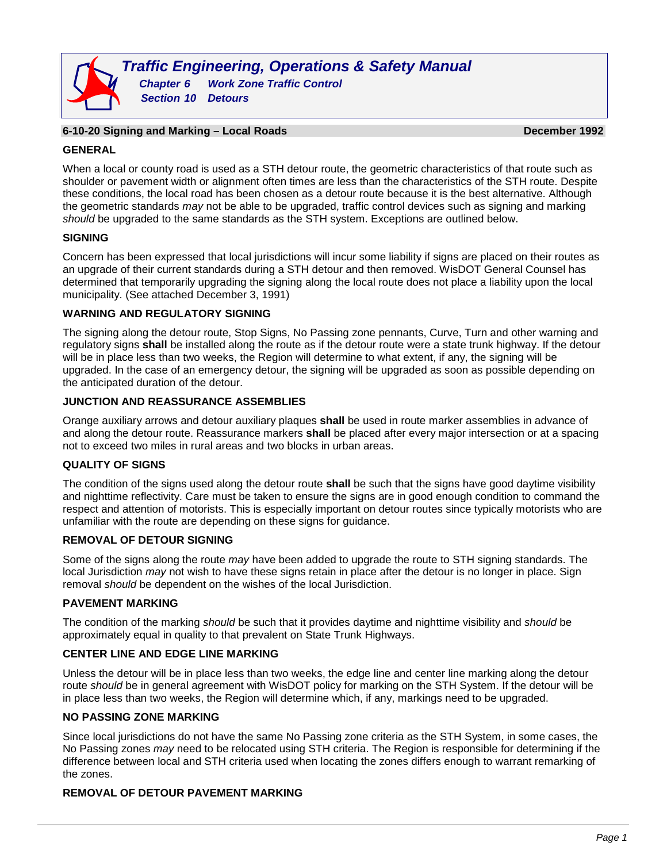# **6-10-20 Signing and Marking – Local Roads December 1992**

## **GENERAL**

When a local or county road is used as a STH detour route, the geometric characteristics of that route such as shoulder or pavement width or alignment often times are less than the characteristics of the STH route. Despite these conditions, the local road has been chosen as a detour route because it is the best alternative. Although the geometric standards *may* not be able to be upgraded, traffic control devices such as signing and marking *should* be upgraded to the same standards as the STH system. Exceptions are outlined below.

#### **SIGNING**

Concern has been expressed that local jurisdictions will incur some liability if signs are placed on their routes as an upgrade of their current standards during a STH detour and then removed. WisDOT General Counsel has determined that temporarily upgrading the signing along the local route does not place a liability upon the local municipality. (See attached December 3, 1991)

#### **WARNING AND REGULATORY SIGNING**

The signing along the detour route, Stop Signs, No Passing zone pennants, Curve, Turn and other warning and regulatory signs **shall** be installed along the route as if the detour route were a state trunk highway. If the detour will be in place less than two weeks, the Region will determine to what extent, if any, the signing will be upgraded. In the case of an emergency detour, the signing will be upgraded as soon as possible depending on the anticipated duration of the detour.

## **JUNCTION AND REASSURANCE ASSEMBLIES**

Orange auxiliary arrows and detour auxiliary plaques **shall** be used in route marker assemblies in advance of and along the detour route. Reassurance markers **shall** be placed after every major intersection or at a spacing not to exceed two miles in rural areas and two blocks in urban areas.

## **QUALITY OF SIGNS**

The condition of the signs used along the detour route **shall** be such that the signs have good daytime visibility and nighttime reflectivity. Care must be taken to ensure the signs are in good enough condition to command the respect and attention of motorists. This is especially important on detour routes since typically motorists who are unfamiliar with the route are depending on these signs for guidance.

## **REMOVAL OF DETOUR SIGNING**

Some of the signs along the route *may* have been added to upgrade the route to STH signing standards. The local Jurisdiction *may* not wish to have these signs retain in place after the detour is no longer in place. Sign removal *should* be dependent on the wishes of the local Jurisdiction.

## **PAVEMENT MARKING**

The condition of the marking *should* be such that it provides daytime and nighttime visibility and *should* be approximately equal in quality to that prevalent on State Trunk Highways.

#### **CENTER LINE AND EDGE LINE MARKING**

Unless the detour will be in place less than two weeks, the edge line and center line marking along the detour route *should* be in general agreement with WisDOT policy for marking on the STH System. If the detour will be in place less than two weeks, the Region will determine which, if any, markings need to be upgraded.

## **NO PASSING ZONE MARKING**

Since local jurisdictions do not have the same No Passing zone criteria as the STH System, in some cases, the No Passing zones *may* need to be relocated using STH criteria. The Region is responsible for determining if the difference between local and STH criteria used when locating the zones differs enough to warrant remarking of the zones.

## **REMOVAL OF DETOUR PAVEMENT MARKING**